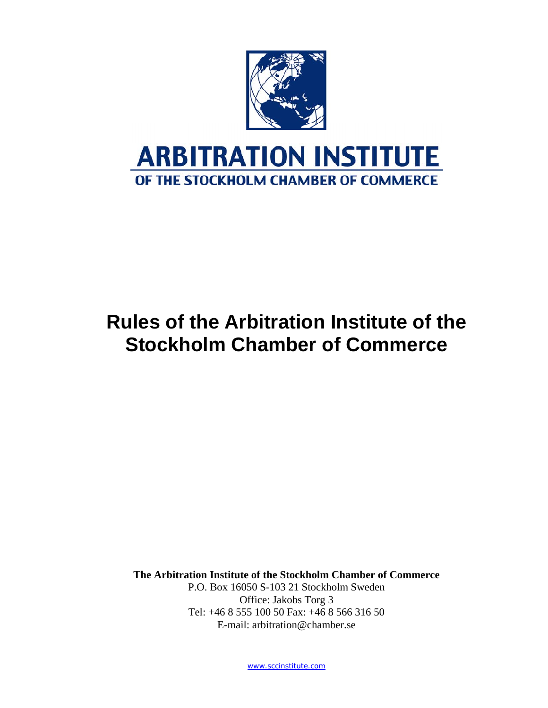

# **Rules of the Arbitration Institute of the Stockholm Chamber of Commerce**

**The Arbitration Institute of the Stockholm Chamber of Commerce**  P.O. Box 16050 S-103 21 Stockholm Sweden

Office: Jakobs Torg 3 Tel: +46 8 555 100 50 Fax: +46 8 566 316 50 E-mail: arbitration@chamber.se

www.sccinstitute.com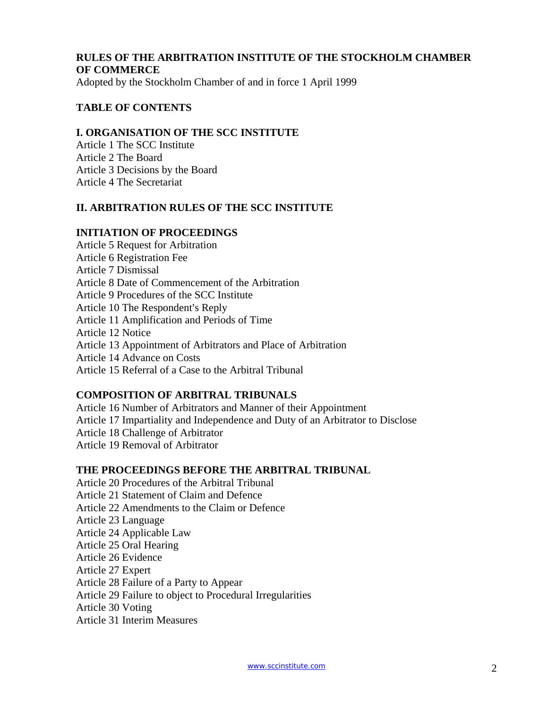## **RULES OF THE ARBITRATION INSTITUTE OF THE STOCKHOLM CHAMBER OF COMMERCE**

Adopted by the Stockholm Chamber of and in force 1 April 1999

## **TABLE OF CONTENTS**

#### **I. ORGANISATION OF THE SCC INSTITUTE**

Article 1 The SCC Institute Article 2 The Board Article 3 Decisions by the Board Article 4 The Secretariat

## **II. ARBITRATION RULES OF THE SCC INSTITUTE**

## **INITIATION OF PROCEEDINGS**

Article 5 Request for Arbitration Article 6 Registration Fee Article 7 Dismissal Article 8 Date of Commencement of the Arbitration Article 9 Procedures of the SCC Institute Article 10 The Respondent's Reply Article 11 Amplification and Periods of Time Article 12 Notice Article 13 Appointment of Arbitrators and Place of Arbitration Article 14 Advance on Costs Article 15 Referral of a Case to the Arbitral Tribunal

## **COMPOSITION OF ARBITRAL TRIBUNALS**

Article 16 Number of Arbitrators and Manner of their Appointment Article 17 Impartiality and Independence and Duty of an Arbitrator to Disclose Article 18 Challenge of Arbitrator Article 19 Removal of Arbitrator

#### **THE PROCEEDINGS BEFORE THE ARBITRAL TRIBUNAL**

- Article 20 Procedures of the Arbitral Tribunal Article 21 Statement of Claim and Defence Article 22 Amendments to the Claim or Defence Article 23 Language Article 24 Applicable Law Article 25 Oral Hearing Article 26 Evidence Article 27 Expert Article 28 Failure of a Party to Appear Article 29 Failure to object to Procedural Irregularities Article 30 Voting
- Article 31 Interim Measures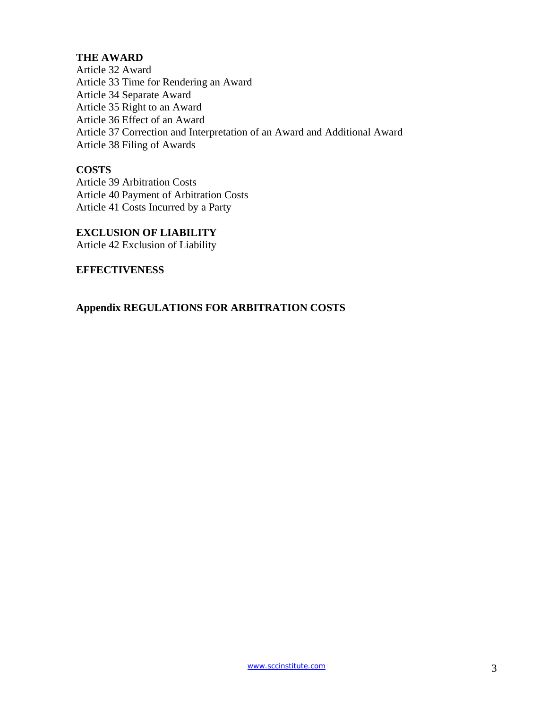#### **THE AWARD**

Article 32 Award Article 33 Time for Rendering an Award Article 34 Separate Award Article 35 Right to an Award Article 36 Effect of an Award Article 37 Correction and Interpretation of an Award and Additional Award Article 38 Filing of Awards

## **COSTS**

Article 39 Arbitration Costs Article 40 Payment of Arbitration Costs Article 41 Costs Incurred by a Party

## **EXCLUSION OF LIABILITY**

Article 42 Exclusion of Liability

#### **EFFECTIVENESS**

## **Appendix REGULATIONS FOR ARBITRATION COSTS**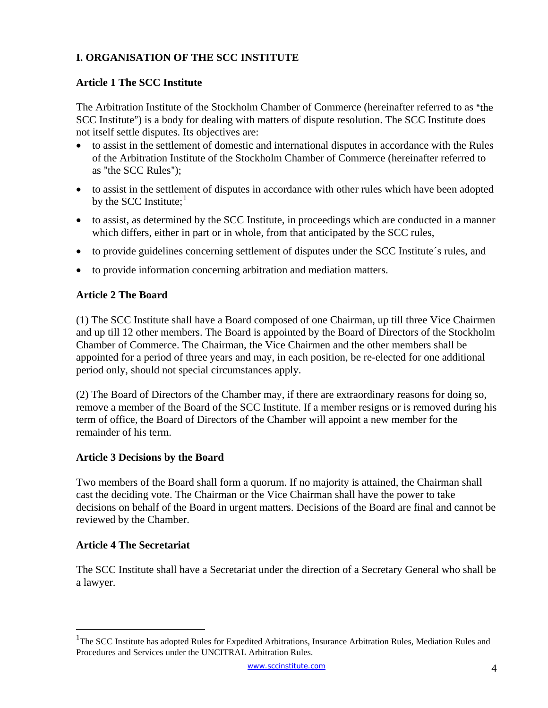# **I. ORGANISATION OF THE SCC INSTITUTE**

## **Article 1 The SCC Institute**

The Arbitration Institute of the Stockholm Chamber of Commerce (hereinafter referred to as "the SCC Institute") is a body for dealing with matters of dispute resolution. The SCC Institute does not itself settle disputes. Its objectives are:

- to assist in the settlement of domestic and international disputes in accordance with the Rules of the Arbitration Institute of the Stockholm Chamber of Commerce (hereinafter referred to as "the SCC Rules");
- to assist in the settlement of disputes in accordance with other rules which have been adopted by the SCC Institute; $<sup>1</sup>$  $<sup>1</sup>$  $<sup>1</sup>$ </sup>
- to assist, as determined by the SCC Institute, in proceedings which are conducted in a manner which differs, either in part or in whole, from that anticipated by the SCC rules,
- to provide guidelines concerning settlement of disputes under the SCC Institute's rules, and
- to provide information concerning arbitration and mediation matters.

## **Article 2 The Board**

(1) The SCC Institute shall have a Board composed of one Chairman, up till three Vice Chairmen and up till 12 other members. The Board is appointed by the Board of Directors of the Stockholm Chamber of Commerce. The Chairman, the Vice Chairmen and the other members shall be appointed for a period of three years and may, in each position, be re-elected for one additional period only, should not special circumstances apply.

(2) The Board of Directors of the Chamber may, if there are extraordinary reasons for doing so, remove a member of the Board of the SCC Institute. If a member resigns or is removed during his term of office, the Board of Directors of the Chamber will appoint a new member for the remainder of his term.

#### **Article 3 Decisions by the Board**

Two members of the Board shall form a quorum. If no majority is attained, the Chairman shall cast the deciding vote. The Chairman or the Vice Chairman shall have the power to take decisions on behalf of the Board in urgent matters. Decisions of the Board are final and cannot be reviewed by the Chamber.

### **Article 4 The Secretariat**

1

The SCC Institute shall have a Secretariat under the direction of a Secretary General who shall be a lawyer.

<span id="page-3-0"></span><sup>&</sup>lt;sup>1</sup>The SCC Institute has adopted Rules for Expedited Arbitrations, Insurance Arbitration Rules, Mediation Rules and Procedures and Services under the UNCITRAL Arbitration Rules.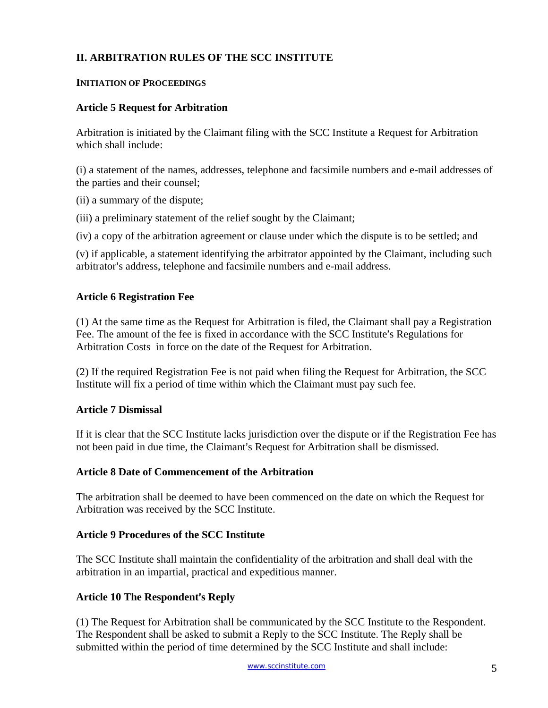# **II. ARBITRATION RULES OF THE SCC INSTITUTE**

## **INITIATION OF PROCEEDINGS**

## **Article 5 Request for Arbitration**

Arbitration is initiated by the Claimant filing with the SCC Institute a Request for Arbitration which shall include:

(i) a statement of the names, addresses, telephone and facsimile numbers and e-mail addresses of the parties and their counsel;

(ii) a summary of the dispute;

(iii) a preliminary statement of the relief sought by the Claimant;

(iv) a copy of the arbitration agreement or clause under which the dispute is to be settled; and

(v) if applicable, a statement identifying the arbitrator appointed by the Claimant, including such arbitrator's address, telephone and facsimile numbers and e-mail address.

## **Article 6 Registration Fee**

(1) At the same time as the Request for Arbitration is filed, the Claimant shall pay a Registration Fee. The amount of the fee is fixed in accordance with the SCC Institute's Regulations for Arbitration Costs in force on the date of the Request for Arbitration.

(2) If the required Registration Fee is not paid when filing the Request for Arbitration, the SCC Institute will fix a period of time within which the Claimant must pay such fee.

## **Article 7 Dismissal**

If it is clear that the SCC Institute lacks jurisdiction over the dispute or if the Registration Fee has not been paid in due time, the Claimant's Request for Arbitration shall be dismissed.

#### **Article 8 Date of Commencement of the Arbitration**

The arbitration shall be deemed to have been commenced on the date on which the Request for Arbitration was received by the SCC Institute.

## **Article 9 Procedures of the SCC Institute**

The SCC Institute shall maintain the confidentiality of the arbitration and shall deal with the arbitration in an impartial, practical and expeditious manner.

## **Article 10 The Respondent's Reply**

(1) The Request for Arbitration shall be communicated by the SCC Institute to the Respondent. The Respondent shall be asked to submit a Reply to the SCC Institute. The Reply shall be submitted within the period of time determined by the SCC Institute and shall include: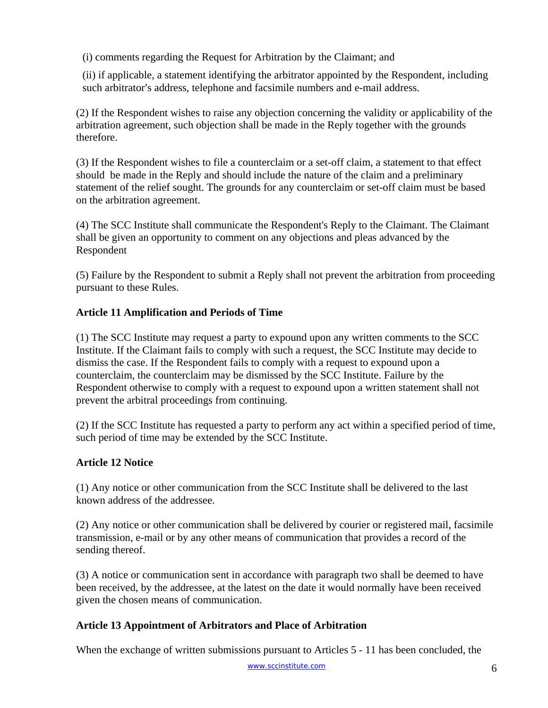(i) comments regarding the Request for Arbitration by the Claimant; and

(ii) if applicable, a statement identifying the arbitrator appointed by the Respondent, including such arbitrator's address, telephone and facsimile numbers and e-mail address.

(2) If the Respondent wishes to raise any objection concerning the validity or applicability of the arbitration agreement, such objection shall be made in the Reply together with the grounds therefore.

(3) If the Respondent wishes to file a counterclaim or a set-off claim, a statement to that effect should be made in the Reply and should include the nature of the claim and a preliminary statement of the relief sought. The grounds for any counterclaim or set-off claim must be based on the arbitration agreement.

(4) The SCC Institute shall communicate the Respondent's Reply to the Claimant. The Claimant shall be given an opportunity to comment on any objections and pleas advanced by the Respondent

(5) Failure by the Respondent to submit a Reply shall not prevent the arbitration from proceeding pursuant to these Rules.

# **Article 11 Amplification and Periods of Time**

(1) The SCC Institute may request a party to expound upon any written comments to the SCC Institute. If the Claimant fails to comply with such a request, the SCC Institute may decide to dismiss the case. If the Respondent fails to comply with a request to expound upon a counterclaim, the counterclaim may be dismissed by the SCC Institute. Failure by the Respondent otherwise to comply with a request to expound upon a written statement shall not prevent the arbitral proceedings from continuing.

(2) If the SCC Institute has requested a party to perform any act within a specified period of time, such period of time may be extended by the SCC Institute.

# **Article 12 Notice**

(1) Any notice or other communication from the SCC Institute shall be delivered to the last known address of the addressee.

(2) Any notice or other communication shall be delivered by courier or registered mail, facsimile transmission, e-mail or by any other means of communication that provides a record of the sending thereof.

(3) A notice or communication sent in accordance with paragraph two shall be deemed to have been received, by the addressee, at the latest on the date it would normally have been received given the chosen means of communication.

# **Article 13 Appointment of Arbitrators and Place of Arbitration**

When the exchange of written submissions pursuant to Articles 5 - 11 has been concluded, the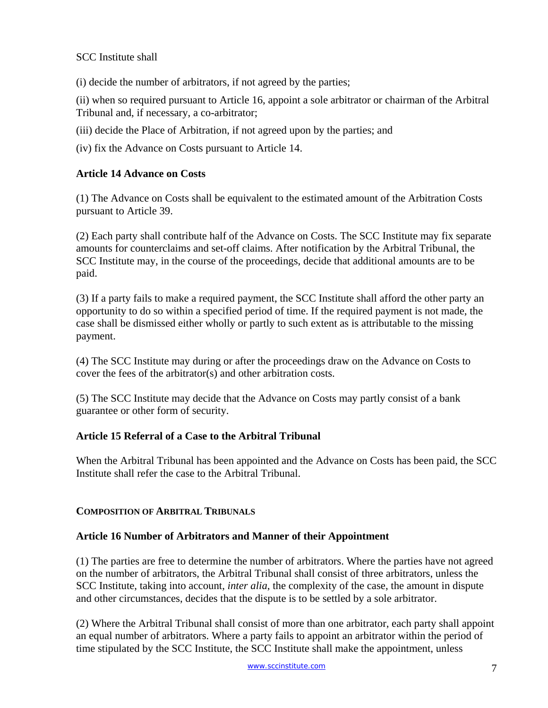## SCC Institute shall

(i) decide the number of arbitrators, if not agreed by the parties;

(ii) when so required pursuant to Article 16, appoint a sole arbitrator or chairman of the Arbitral Tribunal and, if necessary, a co-arbitrator;

(iii) decide the Place of Arbitration, if not agreed upon by the parties; and

(iv) fix the Advance on Costs pursuant to Article 14.

## **Article 14 Advance on Costs**

(1) The Advance on Costs shall be equivalent to the estimated amount of the Arbitration Costs pursuant to Article 39.

(2) Each party shall contribute half of the Advance on Costs. The SCC Institute may fix separate amounts for counterclaims and set-off claims. After notification by the Arbitral Tribunal, the SCC Institute may, in the course of the proceedings, decide that additional amounts are to be paid.

(3) If a party fails to make a required payment, the SCC Institute shall afford the other party an opportunity to do so within a specified period of time. If the required payment is not made, the case shall be dismissed either wholly or partly to such extent as is attributable to the missing payment.

(4) The SCC Institute may during or after the proceedings draw on the Advance on Costs to cover the fees of the arbitrator(s) and other arbitration costs.

(5) The SCC Institute may decide that the Advance on Costs may partly consist of a bank guarantee or other form of security.

## **Article 15 Referral of a Case to the Arbitral Tribunal**

When the Arbitral Tribunal has been appointed and the Advance on Costs has been paid, the SCC Institute shall refer the case to the Arbitral Tribunal.

## **COMPOSITION OF ARBITRAL TRIBUNALS**

#### **Article 16 Number of Arbitrators and Manner of their Appointment**

(1) The parties are free to determine the number of arbitrators. Where the parties have not agreed on the number of arbitrators, the Arbitral Tribunal shall consist of three arbitrators, unless the SCC Institute, taking into account, *inter alia*, the complexity of the case, the amount in dispute and other circumstances, decides that the dispute is to be settled by a sole arbitrator.

(2) Where the Arbitral Tribunal shall consist of more than one arbitrator, each party shall appoint an equal number of arbitrators. Where a party fails to appoint an arbitrator within the period of time stipulated by the SCC Institute, the SCC Institute shall make the appointment, unless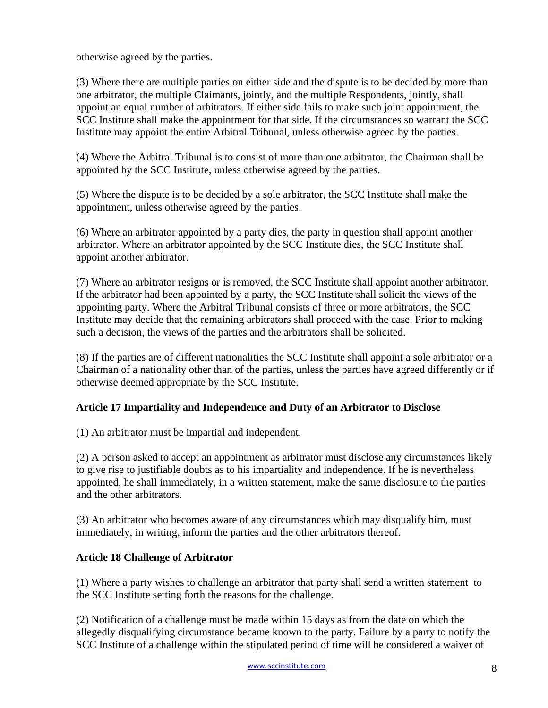otherwise agreed by the parties.

(3) Where there are multiple parties on either side and the dispute is to be decided by more than one arbitrator, the multiple Claimants, jointly, and the multiple Respondents, jointly, shall appoint an equal number of arbitrators. If either side fails to make such joint appointment*,* the SCC Institute shall make the appointment for that side. If the circumstances so warrant the SCC Institute may appoint the entire Arbitral Tribunal, unless otherwise agreed by the parties.

(4) Where the Arbitral Tribunal is to consist of more than one arbitrator, the Chairman shall be appointed by the SCC Institute, unless otherwise agreed by the parties.

(5) Where the dispute is to be decided by a sole arbitrator, the SCC Institute shall make the appointment, unless otherwise agreed by the parties.

(6) Where an arbitrator appointed by a party dies, the party in question shall appoint another arbitrator. Where an arbitrator appointed by the SCC Institute dies, the SCC Institute shall appoint another arbitrator.

(7) Where an arbitrator resigns or is removed, the SCC Institute shall appoint another arbitrator. If the arbitrator had been appointed by a party, the SCC Institute shall solicit the views of the appointing party. Where the Arbitral Tribunal consists of three or more arbitrators, the SCC Institute may decide that the remaining arbitrators shall proceed with the case. Prior to making such a decision, the views of the parties and the arbitrators shall be solicited.

(8) If the parties are of different nationalities the SCC Institute shall appoint a sole arbitrator or a Chairman of a nationality other than of the parties, unless the parties have agreed differently or if otherwise deemed appropriate by the SCC Institute.

# **Article 17 Impartiality and Independence and Duty of an Arbitrator to Disclose**

(1) An arbitrator must be impartial and independent.

(2) A person asked to accept an appointment as arbitrator must disclose any circumstances likely to give rise to justifiable doubts as to his impartiality and independence. If he is nevertheless appointed, he shall immediately, in a written statement, make the same disclosure to the parties and the other arbitrators.

(3) An arbitrator who becomes aware of any circumstances which may disqualify him, must immediately, in writing, inform the parties and the other arbitrators thereof.

## **Article 18 Challenge of Arbitrator**

(1) Where a party wishes to challenge an arbitrator that party shall send a written statement to the SCC Institute setting forth the reasons for the challenge.

(2) Notification of a challenge must be made within 15 days as from the date on which the allegedly disqualifying circumstance became known to the party. Failure by a party to notify the SCC Institute of a challenge within the stipulated period of time will be considered a waiver of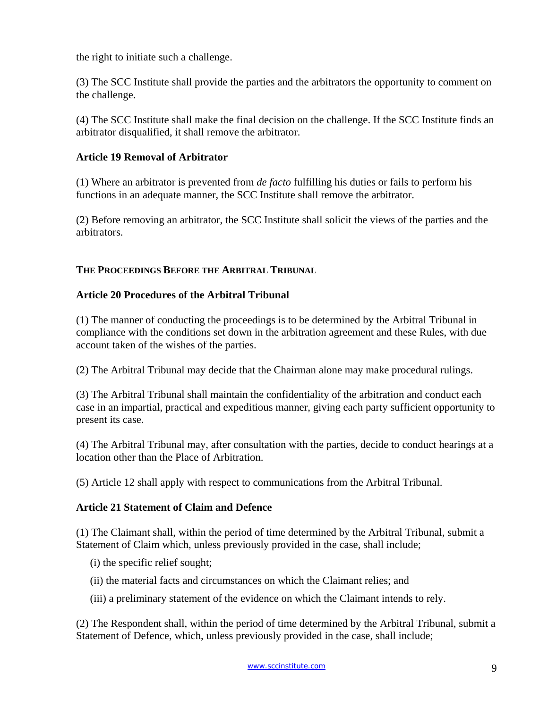the right to initiate such a challenge.

(3) The SCC Institute shall provide the parties and the arbitrators the opportunity to comment on the challenge.

(4) The SCC Institute shall make the final decision on the challenge. If the SCC Institute finds an arbitrator disqualified, it shall remove the arbitrator.

# **Article 19 Removal of Arbitrator**

(1) Where an arbitrator is prevented from *de facto* fulfilling his duties or fails to perform his functions in an adequate manner, the SCC Institute shall remove the arbitrator.

(2) Before removing an arbitrator, the SCC Institute shall solicit the views of the parties and the arbitrators.

# **THE PROCEEDINGS BEFORE THE ARBITRAL TRIBUNAL**

# **Article 20 Procedures of the Arbitral Tribunal**

(1) The manner of conducting the proceedings is to be determined by the Arbitral Tribunal in compliance with the conditions set down in the arbitration agreement and these Rules, with due account taken of the wishes of the parties.

(2) The Arbitral Tribunal may decide that the Chairman alone may make procedural rulings.

(3) The Arbitral Tribunal shall maintain the confidentiality of the arbitration and conduct each case in an impartial, practical and expeditious manner, giving each party sufficient opportunity to present its case.

(4) The Arbitral Tribunal may, after consultation with the parties, decide to conduct hearings at a location other than the Place of Arbitration.

(5) Article 12 shall apply with respect to communications from the Arbitral Tribunal.

# **Article 21 Statement of Claim and Defence**

(1) The Claimant shall, within the period of time determined by the Arbitral Tribunal, submit a Statement of Claim which, unless previously provided in the case, shall include;

- (i) the specific relief sought;
- (ii) the material facts and circumstances on which the Claimant relies; and
- (iii) a preliminary statement of the evidence on which the Claimant intends to rely.

(2) The Respondent shall, within the period of time determined by the Arbitral Tribunal, submit a Statement of Defence, which, unless previously provided in the case, shall include;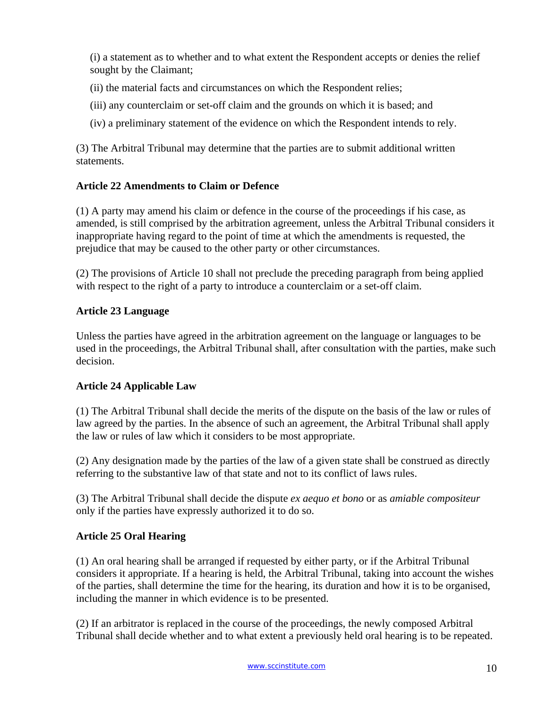(i) a statement as to whether and to what extent the Respondent accepts or denies the relief sought by the Claimant;

- (ii) the material facts and circumstances on which the Respondent relies;
- (iii) any counterclaim or set-off claim and the grounds on which it is based; and
- (iv) a preliminary statement of the evidence on which the Respondent intends to rely.

(3) The Arbitral Tribunal may determine that the parties are to submit additional written statements.

# **Article 22 Amendments to Claim or Defence**

(1) A party may amend his claim or defence in the course of the proceedings if his case, as amended, is still comprised by the arbitration agreement, unless the Arbitral Tribunal considers it inappropriate having regard to the point of time at which the amendments is requested, the prejudice that may be caused to the other party or other circumstances.

(2) The provisions of Article 10 shall not preclude the preceding paragraph from being applied with respect to the right of a party to introduce a counterclaim or a set-off claim.

## **Article 23 Language**

Unless the parties have agreed in the arbitration agreement on the language or languages to be used in the proceedings, the Arbitral Tribunal shall, after consultation with the parties, make such decision.

# **Article 24 Applicable Law**

(1) The Arbitral Tribunal shall decide the merits of the dispute on the basis of the law or rules of law agreed by the parties. In the absence of such an agreement, the Arbitral Tribunal shall apply the law or rules of law which it considers to be most appropriate.

(2) Any designation made by the parties of the law of a given state shall be construed as directly referring to the substantive law of that state and not to its conflict of laws rules.

(3) The Arbitral Tribunal shall decide the dispute *ex aequo et bono* or as *amiable compositeur* only if the parties have expressly authorized it to do so.

# **Article 25 Oral Hearing**

(1) An oral hearing shall be arranged if requested by either party, or if the Arbitral Tribunal considers it appropriate. If a hearing is held, the Arbitral Tribunal, taking into account the wishes of the parties, shall determine the time for the hearing, its duration and how it is to be organised, including the manner in which evidence is to be presented.

(2) If an arbitrator is replaced in the course of the proceedings, the newly composed Arbitral Tribunal shall decide whether and to what extent a previously held oral hearing is to be repeated.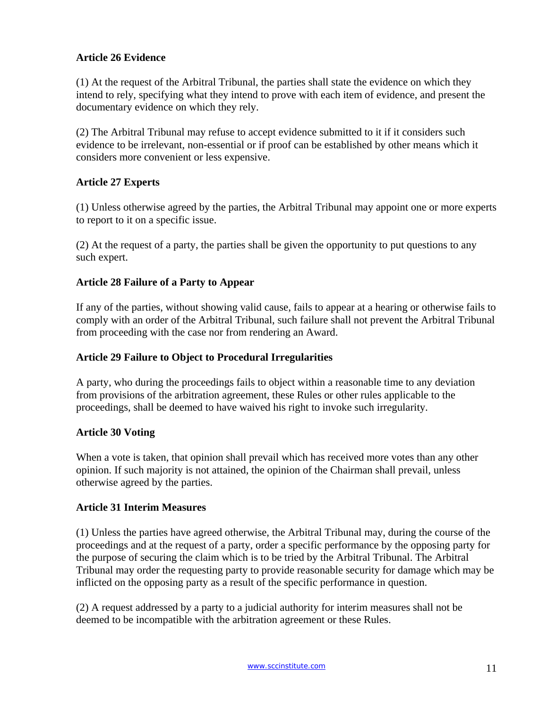## **Article 26 Evidence**

(1) At the request of the Arbitral Tribunal, the parties shall state the evidence on which they intend to rely, specifying what they intend to prove with each item of evidence, and present the documentary evidence on which they rely.

(2) The Arbitral Tribunal may refuse to accept evidence submitted to it if it considers such evidence to be irrelevant, non-essential or if proof can be established by other means which it considers more convenient or less expensive.

## **Article 27 Experts**

(1) Unless otherwise agreed by the parties, the Arbitral Tribunal may appoint one or more experts to report to it on a specific issue.

(2) At the request of a party, the parties shall be given the opportunity to put questions to any such expert.

## **Article 28 Failure of a Party to Appear**

If any of the parties, without showing valid cause, fails to appear at a hearing or otherwise fails to comply with an order of the Arbitral Tribunal, such failure shall not prevent the Arbitral Tribunal from proceeding with the case nor from rendering an Award.

## **Article 29 Failure to Object to Procedural Irregularities**

A party, who during the proceedings fails to object within a reasonable time to any deviation from provisions of the arbitration agreement, these Rules or other rules applicable to the proceedings, shall be deemed to have waived his right to invoke such irregularity.

## **Article 30 Voting**

When a vote is taken, that opinion shall prevail which has received more votes than any other opinion. If such majority is not attained, the opinion of the Chairman shall prevail, unless otherwise agreed by the parties.

## **Article 31 Interim Measures**

(1) Unless the parties have agreed otherwise, the Arbitral Tribunal may, during the course of the proceedings and at the request of a party, order a specific performance by the opposing party for the purpose of securing the claim which is to be tried by the Arbitral Tribunal. The Arbitral Tribunal may order the requesting party to provide reasonable security for damage which may be inflicted on the opposing party as a result of the specific performance in question.

(2) A request addressed by a party to a judicial authority for interim measures shall not be deemed to be incompatible with the arbitration agreement or these Rules.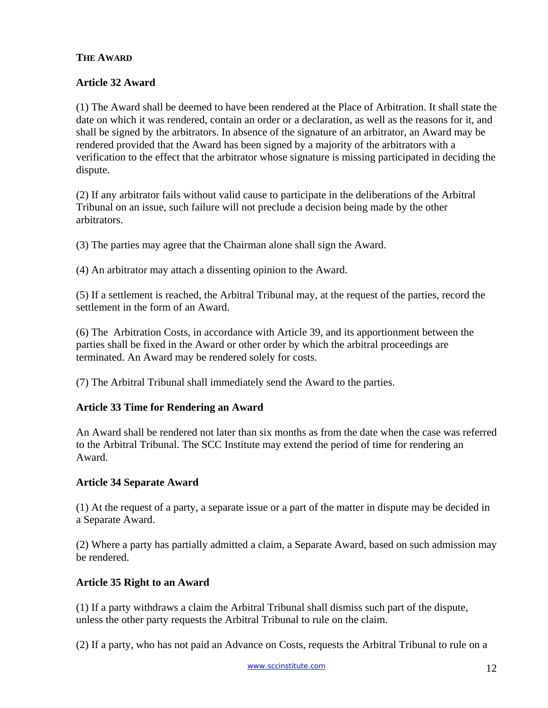## **THE AWARD**

## **Article 32 Award**

(1) The Award shall be deemed to have been rendered at the Place of Arbitration. It shall state the date on which it was rendered, contain an order or a declaration, as well as the reasons for it, and shall be signed by the arbitrators. In absence of the signature of an arbitrator, an Award may be rendered provided that the Award has been signed by a majority of the arbitrators with a verification to the effect that the arbitrator whose signature is missing participated in deciding the dispute.

(2) If any arbitrator fails without valid cause to participate in the deliberations of the Arbitral Tribunal on an issue, such failure will not preclude a decision being made by the other arbitrators.

(3) The parties may agree that the Chairman alone shall sign the Award.

(4) An arbitrator may attach a dissenting opinion to the Award.

(5) If a settlement is reached, the Arbitral Tribunal may, at the request of the parties, record the settlement in the form of an Award.

(6) The Arbitration Costs, in accordance with Article 39, and its apportionment between the parties shall be fixed in the Award or other order by which the arbitral proceedings are terminated. An Award may be rendered solely for costs.

(7) The Arbitral Tribunal shall immediately send the Award to the parties.

# **Article 33 Time for Rendering an Award**

An Award shall be rendered not later than six months as from the date when the case was referred to the Arbitral Tribunal. The SCC Institute may extend the period of time for rendering an Award.

## **Article 34 Separate Award**

(1) At the request of a party, a separate issue or a part of the matter in dispute may be decided in a Separate Award.

(2) Where a party has partially admitted a claim, a Separate Award, based on such admission may be rendered.

# **Article 35 Right to an Award**

(1) If a party withdraws a claim the Arbitral Tribunal shall dismiss such part of the dispute, unless the other party requests the Arbitral Tribunal to rule on the claim.

(2) If a party, who has not paid an Advance on Costs, requests the Arbitral Tribunal to rule on a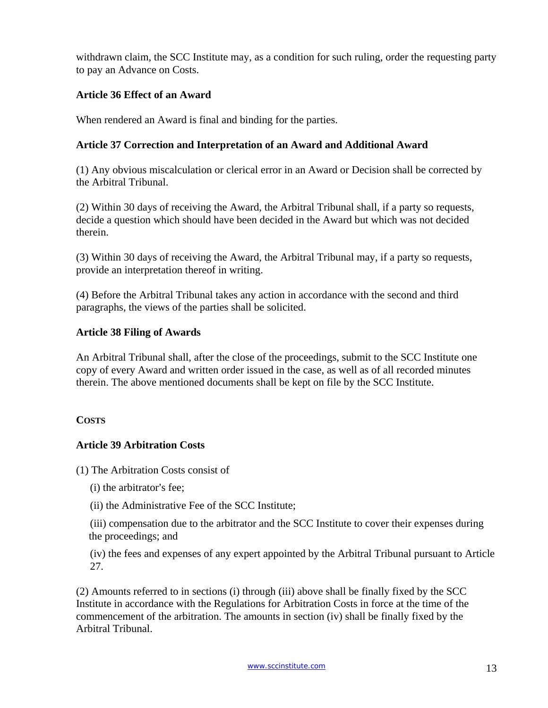withdrawn claim, the SCC Institute may, as a condition for such ruling, order the requesting party to pay an Advance on Costs.

## **Article 36 Effect of an Award**

When rendered an Award is final and binding for the parties.

## **Article 37 Correction and Interpretation of an Award and Additional Award**

(1) Any obvious miscalculation or clerical error in an Award or Decision shall be corrected by the Arbitral Tribunal.

(2) Within 30 days of receiving the Award, the Arbitral Tribunal shall, if a party so requests, decide a question which should have been decided in the Award but which was not decided therein.

(3) Within 30 days of receiving the Award, the Arbitral Tribunal may, if a party so requests, provide an interpretation thereof in writing.

(4) Before the Arbitral Tribunal takes any action in accordance with the second and third paragraphs, the views of the parties shall be solicited.

## **Article 38 Filing of Awards**

An Arbitral Tribunal shall, after the close of the proceedings, submit to the SCC Institute one copy of every Award and written order issued in the case, as well as of all recorded minutes therein. The above mentioned documents shall be kept on file by the SCC Institute.

## **COSTS**

## **Article 39 Arbitration Costs**

(1) The Arbitration Costs consist of

- (i) the arbitrator's fee:
- (ii) the Administrative Fee of the SCC Institute;

(iii) compensation due to the arbitrator and the SCC Institute to cover their expenses during the proceedings; and

(iv) the fees and expenses of any expert appointed by the Arbitral Tribunal pursuant to Article 27.

(2) Amounts referred to in sections (i) through (iii) above shall be finally fixed by the SCC Institute in accordance with the Regulations for Arbitration Costs in force at the time of the commencement of the arbitration. The amounts in section (iv) shall be finally fixed by the Arbitral Tribunal.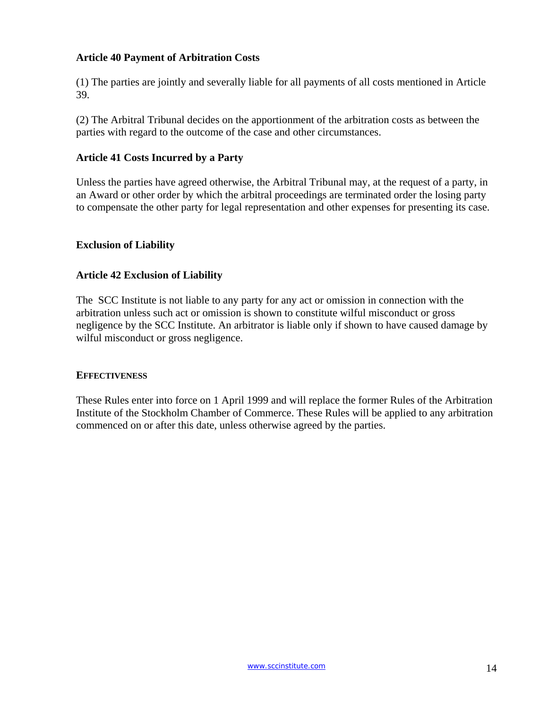## **Article 40 Payment of Arbitration Costs**

(1) The parties are jointly and severally liable for all payments of all costs mentioned in Article 39.

(2) The Arbitral Tribunal decides on the apportionment of the arbitration costs as between the parties with regard to the outcome of the case and other circumstances.

## **Article 41 Costs Incurred by a Party**

Unless the parties have agreed otherwise, the Arbitral Tribunal may, at the request of a party, in an Award or other order by which the arbitral proceedings are terminated order the losing party to compensate the other party for legal representation and other expenses for presenting its case.

## **Exclusion of Liability**

## **Article 42 Exclusion of Liability**

The SCC Institute is not liable to any party for any act or omission in connection with the arbitration unless such act or omission is shown to constitute wilful misconduct or gross negligence by the SCC Institute. An arbitrator is liable only if shown to have caused damage by wilful misconduct or gross negligence.

#### **EFFECTIVENESS**

These Rules enter into force on 1 April 1999 and will replace the former Rules of the Arbitration Institute of the Stockholm Chamber of Commerce. These Rules will be applied to any arbitration commenced on or after this date, unless otherwise agreed by the parties.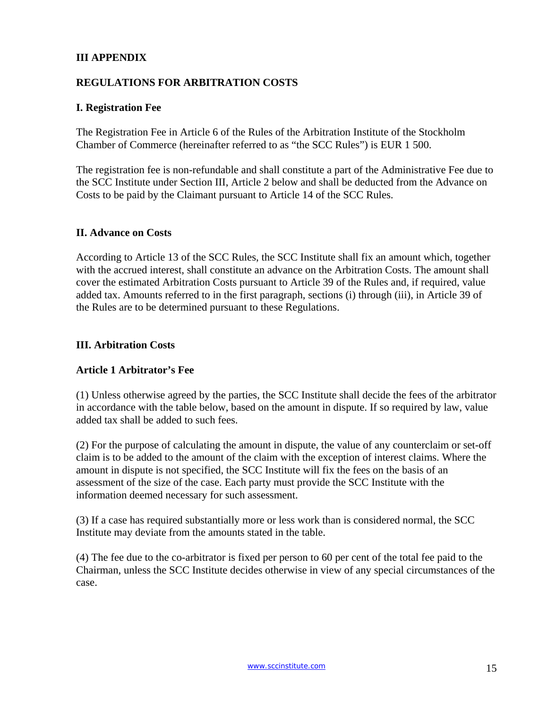## **III APPENDIX**

## **REGULATIONS FOR ARBITRATION COSTS**

#### **I. Registration Fee**

The Registration Fee in Article 6 of the Rules of the Arbitration Institute of the Stockholm Chamber of Commerce (hereinafter referred to as "the SCC Rules") is EUR 1 500.

The registration fee is non-refundable and shall constitute a part of the Administrative Fee due to the SCC Institute under Section III, Article 2 below and shall be deducted from the Advance on Costs to be paid by the Claimant pursuant to Article 14 of the SCC Rules.

#### **II. Advance on Costs**

According to Article 13 of the SCC Rules, the SCC Institute shall fix an amount which, together with the accrued interest, shall constitute an advance on the Arbitration Costs. The amount shall cover the estimated Arbitration Costs pursuant to Article 39 of the Rules and, if required, value added tax. Amounts referred to in the first paragraph, sections (i) through (iii), in Article 39 of the Rules are to be determined pursuant to these Regulations.

#### **III. Arbitration Costs**

#### **Article 1 Arbitrator's Fee**

(1) Unless otherwise agreed by the parties, the SCC Institute shall decide the fees of the arbitrator in accordance with the table below, based on the amount in dispute. If so required by law, value added tax shall be added to such fees.

(2) For the purpose of calculating the amount in dispute, the value of any counterclaim or set-off claim is to be added to the amount of the claim with the exception of interest claims. Where the amount in dispute is not specified, the SCC Institute will fix the fees on the basis of an assessment of the size of the case. Each party must provide the SCC Institute with the information deemed necessary for such assessment.

(3) If a case has required substantially more or less work than is considered normal, the SCC Institute may deviate from the amounts stated in the table.

(4) The fee due to the co-arbitrator is fixed per person to 60 per cent of the total fee paid to the Chairman, unless the SCC Institute decides otherwise in view of any special circumstances of the case.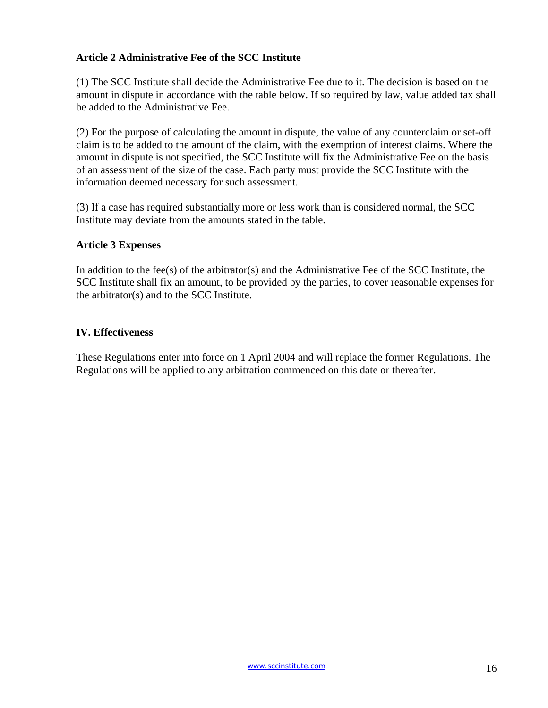## **Article 2 Administrative Fee of the SCC Institute**

(1) The SCC Institute shall decide the Administrative Fee due to it. The decision is based on the amount in dispute in accordance with the table below. If so required by law, value added tax shall be added to the Administrative Fee.

(2) For the purpose of calculating the amount in dispute, the value of any counterclaim or set-off claim is to be added to the amount of the claim, with the exemption of interest claims. Where the amount in dispute is not specified, the SCC Institute will fix the Administrative Fee on the basis of an assessment of the size of the case. Each party must provide the SCC Institute with the information deemed necessary for such assessment.

(3) If a case has required substantially more or less work than is considered normal, the SCC Institute may deviate from the amounts stated in the table.

## **Article 3 Expenses**

In addition to the fee(s) of the arbitrator(s) and the Administrative Fee of the SCC Institute, the SCC Institute shall fix an amount, to be provided by the parties, to cover reasonable expenses for the arbitrator(s) and to the SCC Institute.

## **IV. Effectiveness**

These Regulations enter into force on 1 April 2004 and will replace the former Regulations. The Regulations will be applied to any arbitration commenced on this date or thereafter.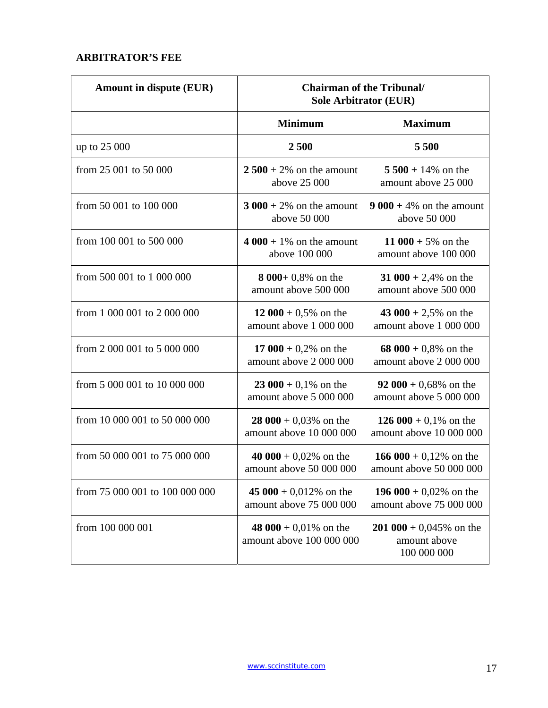## **ARBITRATOR'S FEE**

| <b>Amount in dispute (EUR)</b> | <b>Chairman of the Tribunal/</b><br><b>Sole Arbitrator (EUR)</b> |                                                        |
|--------------------------------|------------------------------------------------------------------|--------------------------------------------------------|
|                                | <b>Minimum</b>                                                   | <b>Maximum</b>                                         |
| up to 25 000                   | 2 500                                                            | 5 500                                                  |
| from 25 001 to 50 000          | $2500 + 2\%$ on the amount<br>above 25 000                       | $5\,500 + 14\%$ on the<br>amount above 25 000          |
| from 50 001 to 100 000         | $3000 + 2\%$ on the amount<br>above 50 000                       | $9000 + 4\%$ on the amount<br>above 50 000             |
| from 100 001 to 500 000        | $4000 + 1\%$ on the amount<br>above 100 000                      | 11 000 + 5% on the<br>amount above 100 000             |
| from 500 001 to 1 000 000      | $8000 + 0.8\%$ on the<br>amount above 500 000                    | 31 000 + 2,4% on the<br>amount above 500 000           |
| from 1 000 001 to 2 000 000    | 12 000 + $0.5\%$ on the<br>amount above 1 000 000                | 43 000 + 2,5% on the<br>amount above 1 000 000         |
| from 2 000 001 to 5 000 000    | 17 000 + 0,2% on the<br>amount above 2 000 000                   | 68 000 + 0,8% on the<br>amount above 2 000 000         |
| from 5 000 001 to 10 000 000   | 23 000 + 0,1% on the<br>amount above 5 000 000                   | $92\,000 + 0,68\%$ on the<br>amount above 5 000 000    |
| from 10 000 001 to 50 000 000  | 28 000 + 0,03% on the<br>amount above 10 000 000                 | 126 000 + 0,1% on the<br>amount above 10 000 000       |
| from 50 000 001 to 75 000 000  | 40 000 + 0,02% on the<br>amount above 50 000 000                 | 166 000 + 0,12% on the<br>amount above 50 000 000      |
| from 75 000 001 to 100 000 000 | 45 000 + 0,012% on the<br>amount above 75 000 000                | 196 000 + 0,02% on the<br>amount above 75 000 000      |
| from 100 000 001               | 48 000 + 0,01% on the<br>amount above 100 000 000                | 201 000 + 0,045% on the<br>amount above<br>100 000 000 |